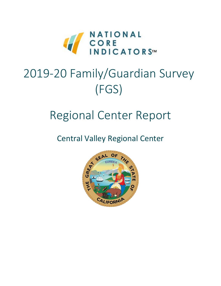

# 2019-20 Family/Guardian Survey (FGS)

# Regional Center Report

Central Valley Regional Center

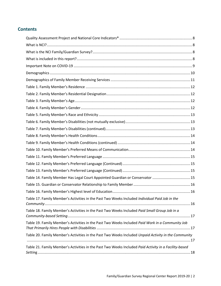### **Contents**

| Table 14. Family Member Has Legal Court Appointed Guardian or Conservator  15                         |
|-------------------------------------------------------------------------------------------------------|
|                                                                                                       |
|                                                                                                       |
| Table 17. Family Member's Activities in the Past Two Weeks Included Individual Paid Job in the        |
| Table 18. Family Member's Activities in the Past Two Weeks Included Paid Small Group Job in a         |
| Table 19. Family Member's Activities in the Past Two Weeks Included Paid Work in a Community Job      |
| Table 20. Family Member's Activities in the Past Two Weeks Included Unpaid Activity in the Community  |
| Table 21. Family Member's Activities in the Past Two Weeks Included Paid Activity in a Facility-based |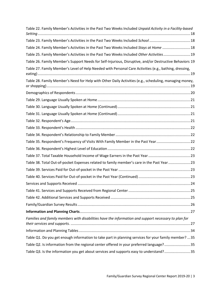| Table 22. Family Member's Activities in the Past Two Weeks Included Unpaid Activity in a Facility-based |
|---------------------------------------------------------------------------------------------------------|
|                                                                                                         |
| Table 24. Family Member's Activities in the Past Two Weeks Included Stays at Home  18                   |
| Table 25. Family Member's Activities in the Past Two Weeks Included Other Activities 19                 |
| Table 26. Family Member's Support Needs for Self-Injurious, Disruptive, and/or Destructive Behaviors 19 |
| Table 27. Family Member's Level of Help Needed with Personal Care Activities (e.g., bathing, dressing,  |
| Table 28. Family Member's Need for Help with Other Daily Activities (e.g., scheduling, managing money,  |
|                                                                                                         |
|                                                                                                         |
|                                                                                                         |
|                                                                                                         |
|                                                                                                         |
|                                                                                                         |
|                                                                                                         |
| Table 35. Respondent's Frequency of Visits With Family Member in the Past Year22                        |
|                                                                                                         |
|                                                                                                         |
| Table 38. Total Out-of-pocket Expenses related to family member's care in the Past Year23               |
|                                                                                                         |
|                                                                                                         |
|                                                                                                         |
|                                                                                                         |
|                                                                                                         |
|                                                                                                         |
|                                                                                                         |
| Families and family members with disabilities have the information and support necessary to plan for    |
|                                                                                                         |
| Table Q1. Do you get enough information to take part in planning services for your family member?  35   |
| Table Q2. Is information from the regional center offered in your preferred language?35                 |
| Table Q3. Is the information you get about services and supports easy to understand?35                  |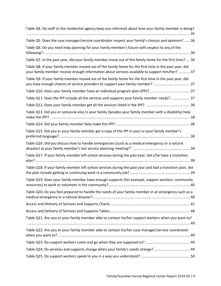| Table Q4. Do staff or the residential agency keep you informed about how your family member is doing?                                                                                                   |
|---------------------------------------------------------------------------------------------------------------------------------------------------------------------------------------------------------|
| Table Q5. Does the case manager/service coordinator respect your family's choices and opinions?  36                                                                                                     |
| Table Q6. Do you need help planning for your family member's future with respect to any of the                                                                                                          |
| Table Q7. In the past year, did your family member move out of the family home for the first time? 36                                                                                                   |
| Table Q8. If your family member moved out of the family home for the first time in the past year, did<br>your family member receive enough information about services available to support him/her?  37 |
| Table Q9. If your family member moved out of the family home for the first time in the past year, did<br>you have enough choices of service providers to support your family member? 37                 |
|                                                                                                                                                                                                         |
| Table Q11. Does the IPP include all the services and supports your family member needs?37                                                                                                               |
|                                                                                                                                                                                                         |
| Table Q13. Did you or someone else in your family (besides your family member with a disability) help                                                                                                   |
|                                                                                                                                                                                                         |
| Table Q15. Did you or your family member get a copy of the IPP in your or your family member's                                                                                                          |
| Table Q16. Did you discuss how to handle emergencies (such as a medical emergency or a natural                                                                                                          |
| Table Q17. If your family member left school services during the past year, did s/he have a transition                                                                                                  |
| Table Q18. If your family member left school services during the past year and had a transition plan, did                                                                                               |
| Table Q19. Does your family member have enough supports (for example, support workers, community                                                                                                        |
| Table Q20. Do you feel prepared to handle the needs of your family member in an emergency such as a                                                                                                     |
|                                                                                                                                                                                                         |
|                                                                                                                                                                                                         |
| Table Q21. Are you or your family member able to contact his/her support workers when you want to?                                                                                                      |
|                                                                                                                                                                                                         |
| Table Q22. Are you or your family member able to contact his/her case manager/service coordinator                                                                                                       |
|                                                                                                                                                                                                         |
| Table Q24. Do services and supports change when your family's needs change? 49                                                                                                                          |
|                                                                                                                                                                                                         |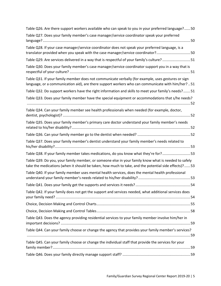| Table Q26. Are there support workers available who can speak to you in your preferred language? 50                                                                                                         |
|------------------------------------------------------------------------------------------------------------------------------------------------------------------------------------------------------------|
| Table Q27. Does your family member's case manager/service coordinator speak your preferred                                                                                                                 |
| Table Q28. If your case manager/service coordinator does not speak your preferred language, is a<br>translator provided when you speak with the case manager/service coordinator?50                        |
| Table Q29. Are services delivered in a way that is respectful of your family's culture? 51                                                                                                                 |
| Table Q30. Does your family member's case manager/service coordinator support you in a way that is                                                                                                         |
| Table Q31. If your family member does not communicate verbally (for example, uses gestures or sign<br>language, or a communication aid), are there support workers who can communicate with him/her? 51    |
| Table Q32. Do support workers have the right information and skills to meet your family's needs? 51                                                                                                        |
| Table Q33. Does your family member have the special equipment or accommodations that s/he needs?                                                                                                           |
| Table Q34. Can your family member see health professionals when needed (for example, doctor,                                                                                                               |
| Table Q35. Does your family member's primary care doctor understand your family member's needs                                                                                                             |
|                                                                                                                                                                                                            |
| Table Q37. Does your family member's dentist understand your family member's needs related to                                                                                                              |
| Table Q38. If your family member takes medications, do you know what they're for?53                                                                                                                        |
| Table Q39. Do you, your family member, or someone else in your family know what is needed to safely<br>take the medications (when it should be taken, how much to take, and the potential side effects)?53 |
| Table Q40. If your family member uses mental health services, does the mental health professional                                                                                                          |
|                                                                                                                                                                                                            |
| Table Q42. If your family does not get the support and services needed, what additional services does                                                                                                      |
|                                                                                                                                                                                                            |
|                                                                                                                                                                                                            |
| Table Q43. Does the agency providing residential services to your family member involve him/her in                                                                                                         |
| Table Q44. Can your family choose or change the agency that provides your family member's services?                                                                                                        |
| Table Q45. Can your family choose or change the individual staff that provide the services for your                                                                                                        |
|                                                                                                                                                                                                            |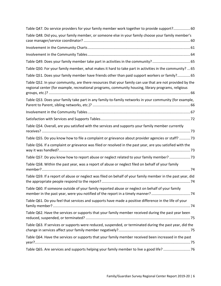| Table Q47. Do service providers for your family member work together to provide support? 60                                                                                                                    |
|----------------------------------------------------------------------------------------------------------------------------------------------------------------------------------------------------------------|
| Table Q48. Did you, your family member, or someone else in your family choose your family member's                                                                                                             |
|                                                                                                                                                                                                                |
|                                                                                                                                                                                                                |
|                                                                                                                                                                                                                |
| Table Q50. For your family member, what makes it hard to take part in activities in the community?  65                                                                                                         |
| Table Q51. Does your family member have friends other than paid support workers or family? 65                                                                                                                  |
| Table Q52. In your community, are there resources that your family can use that are not provided by the<br>regional center (for example, recreational programs, community housing, library programs, religious |
| Table Q53. Does your family take part in any family-to-family networks in your community (for example,                                                                                                         |
|                                                                                                                                                                                                                |
|                                                                                                                                                                                                                |
| Table Q54. Overall, are you satisfied with the services and supports your family member currently                                                                                                              |
| Table Q55. Do you know how to file a complaint or grievance about provider agencies or staff?  73                                                                                                              |
| Table Q56. If a complaint or grievance was filed or resolved in the past year, are you satisfied with the                                                                                                      |
| Table Q57. Do you know how to report abuse or neglect related to your family member?  73                                                                                                                       |
| Table Q58. Within the past year, was a report of abuse or neglect filed on behalf of your family                                                                                                               |
| Table Q59. If a report of abuse or neglect was filed on behalf of your family member in the past year, did                                                                                                     |
| Table Q60. If someone outside of your family reported abuse or neglect on behalf of your family                                                                                                                |
| Table Q61. Do you feel that services and supports have made a positive difference in the life of your                                                                                                          |
| Table Q62. Have the services or supports that your family member received during the past year been                                                                                                            |
| Table Q63. If services or supports were reduced, suspended, or terminated during the past year, did the                                                                                                        |
| Table Q64. Have the services or supports that your family member received been increased in the past                                                                                                           |
|                                                                                                                                                                                                                |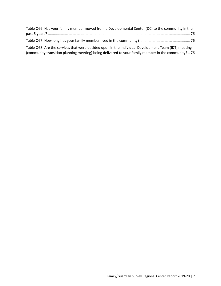| Table Q66. Has your family member moved from a Developmental Center (DC) to the community in the    |
|-----------------------------------------------------------------------------------------------------|
|                                                                                                     |
|                                                                                                     |
| Table Q68. Are the services that were decided upon in the Individual Development Team (IDT) meeting |

[\(community transition planning meeting\) being delivered to your family member in the community?](#page-75-3) ..76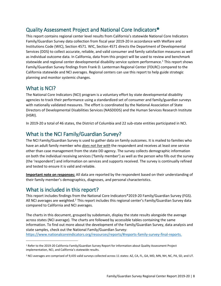## <span id="page-7-0"></span>Quality Assessment Project and National Core Indicators®

This report contains regional center level results from California's statewide National Core Indicators Family/Guardian Survey data collection from fiscal year 2019-20 in accordance with Welfare and Institutions Code (WIC), Section 4571. WIC, Section 4571 directs the Department of Developmental Services (DDS) to collect accurate, reliable, and valid consumer and family satisfaction measures as well as individual outcome data. In California, data from this project will be used to review and benchmark statewide and regional center developmental disability service system performance.<sup>1</sup> This report shows Family/Guardian Survey findings from Frank D. Lanterman Regional Center (FDLRC) compared to the California statewide and NCI averages. Regional centers can use this report to help guide strategic planning and monitor systemic changes.

### <span id="page-7-1"></span>What is NCI?

The National Core Indicators (NCI) program is a voluntary effort by state developmental disability agencies to track their performance using a standardized set of consumer and family/guardian surveys with nationally validated measures. The effort is coordinated by the National Association of State Directors of Developmental Disabilities Services (NASDDDS) and the Human Services Research Institute (HSRI).

In 2019-20 a total of 46 states, the District of Columbia and 22 sub-state entities participated in NCI.

## <span id="page-7-2"></span>What is the NCI Family/Guardian Survey?

The NCI Family/Guardian Survey is used to gather data on family outcomes. It is mailed to families who have an adult family member who *does not live with* the respondent and receives at least one service other than case management from the state DD agency. The survey collects demographic information on both the individual receiving services ('family member') as well as the person who fills out the survey (the 'respondent') and information on services and supports received. The survey is continually refined and tested to ensure it is valid and reliable.

**Important note on responses:** All data are reported by the respondent based on their understanding of their family member's demographics, diagnoses, and personal characteristics.

## <span id="page-7-3"></span>What is included in this report?

This report includes findings from the National Core Indicators®2019-20 Family/Guardian Survey (FGS). All NCI averages are weighted.<sup>2</sup> This report includes this regional center's Family/Guardian Survey data compared to California and NCI averages.

The charts in this document, grouped by subdomain, display the state results alongside the average across states (NCI average). The charts are followed by accessible tables containing the same information. To find out more about the development of the Family/Guardian Survey, data analysis and state samples, check out the National Family/Guardian Survey:

<https://www.nationalcoreindicators.org/resources/reports/#reports-family-survey-final-reports.>

<sup>&</sup>lt;sup>1</sup> Refer to the 2019-20 California Family/Guardian Survey Report for information about Quality Assessment Project implementation, NCI, and California's statewide results.

<sup>&</sup>lt;sup>2</sup> NCI averages are comprised of 9,435 valid surveys collected across 11 states: AZ, CA, FL, GA, MD, MN, NH, NC, PA, SD, and UT.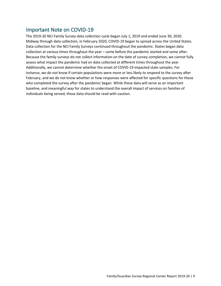## <span id="page-8-0"></span>Important Note on COVID-19

The 2019-20 NCI Family Survey data collection cycle began July 1, 2019 and ended June 30, 2020. Midway through data collection, in February 2020, COVID-19 began to spread across the United States. Data collection for the NCI Family Surveys continued throughout the pandemic. States began data collection at various times throughout the year – some before the pandemic started and some after. Because the family surveys do not collect information on the date of survey completion, we cannot fully assess what impact the pandemic had on data collected at different times throughout the year. Additionally, we cannot determine whether the onset of COVID-19 impacted state samples. For instance, we do not know if certain populations were more or less likely to respond to the survey after February, and we do not know whether or how responses were affected for specific questions for those who completed the survey after the pandemic began. While these data will serve as an important baseline, and meaningful way for states to understand the overall impact of services on families of individuals being served, these data should be read with caution.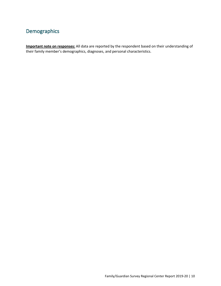## <span id="page-9-0"></span>Demographics

**Important note on responses:** All data are reported by the respondent based on their understanding of their family member's demographics, diagnoses, and personal characteristics.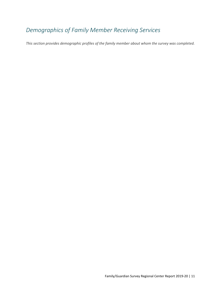# <span id="page-10-0"></span>*Demographics of Family Member Receiving Services*

*This section provides demographic profiles of the family member about whom the survey was completed.*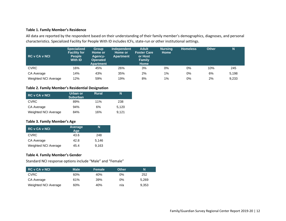#### **Table 1. Family Member's Residence**

All data are reported by the respondent based on their understanding of their family member's demographics, diagnoses, and personal characteristics. Specialized Facility for People With ID includes ICFs, state-run or other institutional settings.

| RC v CA v NCI        | <b>Specialized</b><br><b>Facility for</b><br><b>People</b><br>With <b>ID</b> | <b>Group</b><br>Home or<br>Agency-<br><b>Operated</b><br><b>Apartment</b> | <b>Independent</b><br>Home or<br><b>Apartment</b> | <b>Adult</b><br><b>Foster Care</b><br>or Host<br>Family<br><b>Home</b> | <b>Nursing</b><br><b>Home</b> | <b>Homeless</b> | <b>Other</b> | N     |
|----------------------|------------------------------------------------------------------------------|---------------------------------------------------------------------------|---------------------------------------------------|------------------------------------------------------------------------|-------------------------------|-----------------|--------------|-------|
| <b>CVRC</b>          | 16%                                                                          | 45%                                                                       | 26%                                               | 3%                                                                     | 0%                            | 0%              | 10%          | 245   |
| CA Average           | 14%                                                                          | 43%                                                                       | 35%                                               | 2%                                                                     | 1%                            | 0%              | 6%           | 5,198 |
| Weighted NCI Average | 12%                                                                          | 59%                                                                       | 19%                                               | 8%                                                                     | $1\%$                         | 0%              | 2%           | 9,233 |

#### **Table 2. Family Member's Residential Designation**

<span id="page-11-0"></span>

| <b>RC v CA v NCI</b> | Urban or<br><b>Suburban</b> | <b>Rural</b> | N     |
|----------------------|-----------------------------|--------------|-------|
| <b>CVRC</b>          | 89%                         | 11%          | 238   |
| CA Average           | 94%                         | 6%           | 5,120 |
| Weighted NCI Average | 84%                         | 16%          | 9.121 |

#### **Table 3. Family Member's Age**

| <b>RC v CA v NCI</b> | Average<br>Age | N     |
|----------------------|----------------|-------|
| <b>CVRC</b>          | 43.6           | 248   |
| CA Average           | 42.8           | 5.146 |
| Weighted NCI Average | 45.4           | 9,163 |

#### <span id="page-11-1"></span>**Table 4. Family Member's Gender**

Standard NCI response options include "Male" and "Female"

<span id="page-11-3"></span><span id="page-11-2"></span>

| <b>RC v CA v NCI</b> | <b>Male</b> | Female | <b>Other</b> | N     |
|----------------------|-------------|--------|--------------|-------|
| <b>CVRC</b>          | 60%         | 40%    | 0%           | 252   |
| CA Average           | 61%         | 39%    | 0%           | 5.269 |
| Weighted NCI Average | 60%         | 40%    | n/a          | 9.353 |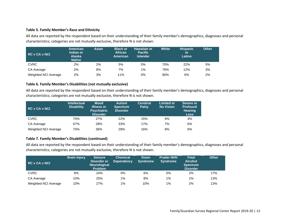#### **Table 5. Family Member's Race and Ethnicity**

All data are reported by the respondent based on their understanding of their family member's demographics, diagnoses and personal characteristics; categories are not mutually exclusive, therefore N is not shown.

| RC v CA v NCI        | <b>American</b><br>Indian or<br><b>Alaska</b><br><b>Native</b> | Asian | <b>Black or</b><br><b>African</b><br>American | Hawaiian or<br><b>Pacific</b><br><b>Islander</b> | <b>White</b> | <b>Hispanic</b><br><b>or</b><br>Latino | <b>Other</b> |
|----------------------|----------------------------------------------------------------|-------|-----------------------------------------------|--------------------------------------------------|--------------|----------------------------------------|--------------|
| <b>CVRC</b>          | 2%                                                             | 2%    | 5%                                            | 0%                                               | 70%          | 22%                                    | 5%           |
| CA Average           | 2%                                                             | 8%    | 7%                                            | 1%                                               | 76%          | 12%                                    | 3%           |
| Weighted NCI Average | 2%                                                             | 3%    | 11%                                           | 0%                                               | 80%          | 6%                                     | 2%           |

#### **Table 6. Family Member's Disabilities (not mutually exclusive)**

<span id="page-12-0"></span>All data are reported by the respondent based on their understanding of their family member's demographics, diagnoses and personal characteristics; categories are not mutually exclusive, therefore N is not shown.

| <b>RC v CA v NCI</b> | <b>Intellectual</b><br><b>Disability</b> | <b>Mood</b><br>Illness or<br><b>Psychiatric</b><br><b>Disorder</b> | <b>Autism</b><br><b>Spectrum</b><br><b>Disorder</b> | <b>Cerebral</b><br><b>Palsy</b> | <b>Limited or</b><br><b>No Vision</b> | Severe or<br><b>Profound</b><br><b>Hearing</b><br><b>Loss</b> |
|----------------------|------------------------------------------|--------------------------------------------------------------------|-----------------------------------------------------|---------------------------------|---------------------------------------|---------------------------------------------------------------|
| <b>CVRC</b>          | 70%                                      | 27%                                                                | 22%                                                 | 15%                             | 6%                                    | 4%                                                            |
| CA Average           | 67%                                      | 28%                                                                | 33%                                                 | 17%                             | 7%                                    | 6%                                                            |
| Weighted NCI Average | 75%                                      | 36%                                                                | 28%                                                 | 16%                             | 8%                                    | 6%                                                            |

#### **Table 7. Family Member's Disabilities (continued)**

<span id="page-12-1"></span>All data are reported by the respondent based on their understanding of their family member's demographics, diagnoses and personal characteristics; categories are not mutually exclusive, therefore N is not shown.

<span id="page-12-2"></span>

| <b>RC v CA v NCI</b> | <b>Brain Injury</b> | <b>Seizure</b><br><b>Disorder or</b><br><b>Neurological</b><br><b>Problem</b> | <b>Chemical</b><br><b>Dependency</b> | Down<br><b>Syndrome</b> | <b>Prader-Willi</b><br><b>Syndrome</b> | <b>Fetal</b><br><b>Alcohol</b><br><b>Spectrum</b><br><b>Disorder</b> | <b>Other</b> |
|----------------------|---------------------|-------------------------------------------------------------------------------|--------------------------------------|-------------------------|----------------------------------------|----------------------------------------------------------------------|--------------|
| <b>CVRC</b>          | 8%                  | 24%                                                                           | 0%                                   | 6%                      | 0%                                     | 2%                                                                   | 17%          |
| CA Average           | 10%                 | 25%                                                                           | $1\%$                                | 8%                      | $1\%$                                  | 1%                                                                   | 13%          |
| Weighted NCI Average | 10%                 | 27%                                                                           | $1\%$                                | 10%                     | 1%                                     | 2%                                                                   | 13%          |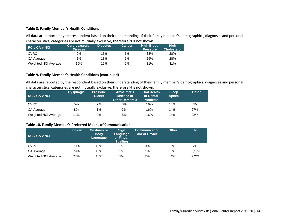#### **Table 8. Family Member's Health Conditions**

All data are reported by the respondent based on their understanding of their family member's demographics, diagnoses and personal characteristics; categories are not mutually exclusive, therefore N is not shown.

| <b>RC v CA v NCI</b> | <b>Cardiovascular</b><br><b>Disease</b> | <b>Diabetes</b> | <b>Cancer</b> | <b>High Blood</b><br><b>Pressure</b> | <b>High</b><br><b>Cholesterol</b> |
|----------------------|-----------------------------------------|-----------------|---------------|--------------------------------------|-----------------------------------|
| <b>CVRC</b>          | 9%                                      | 15%             | 5%            | 38%                                  | 28%                               |
| CA Average           | 8%                                      | 18%             | 6%            | 29%                                  | 28%                               |
| Weighted NCI Average | 10%                                     | 19%             | 6%            | 31%                                  | 31%                               |

#### **Table 9. Family Member's Health Conditions (continued)**

All data are reported by the respondent based on their understanding of their family member's demographics, diagnoses and personal characteristics; categories are not mutually exclusive, therefore N is not shown.

<span id="page-13-0"></span>

| RC v CA v NCI        | <b>Dysphagia</b> | <b>Pressure</b><br><b>Ulcers</b> | Alzheimer's<br>Disease or<br>Other Dementia | <b>Oral Health</b><br>or Dental<br><b>Problems</b> | <b>Sleep</b><br>Apnea | <b>Other</b> |
|----------------------|------------------|----------------------------------|---------------------------------------------|----------------------------------------------------|-----------------------|--------------|
| <b>CVRC</b>          | 5%               | 2%                               | 3%                                          | 16%                                                | 10%                   | 32%          |
| CA Average           | 8%               | $1\%$                            | 3%                                          | 16%                                                | 14%                   | 27%          |
| Weighted NCI Average | 11%              | 2%                               | 5%                                          | 16%                                                | 14%                   | 23%          |

#### **Table 10. Family Member's Preferred Means of Communication**

<span id="page-13-2"></span><span id="page-13-1"></span>

| <b>RC v CA v NCI</b> | <b>Spoken</b> | <b>Gestures or</b><br><b>Body</b><br>Language | <b>Sign</b><br>Language<br>or Finger<br><b>Spelling</b> | <b>Communication</b><br><b>Aid or Device</b> | <b>Other</b> | N     |
|----------------------|---------------|-----------------------------------------------|---------------------------------------------------------|----------------------------------------------|--------------|-------|
| <b>CVRC</b>          | 79%           | 13%                                           | 2%                                                      | 0%                                           | 6%           | 243   |
| CA Average           | 79%           | 13%                                           | 2%                                                      | $1\%$                                        | 5%           | 5.179 |
| Weighted NCI Average | 77%           | 16%                                           | 2%                                                      | 2%                                           | 4%           | 9.221 |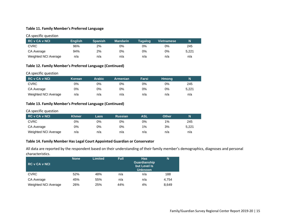#### **Table 11. Family Member's Preferred Language**

#### CA specific question

| RC v CA v NCI        | <b>English</b> | <b>Spanish</b> | <b>Mandarin</b> | <b>Tagalog</b> | <b>Vietnamese</b> | N     |
|----------------------|----------------|----------------|-----------------|----------------|-------------------|-------|
| <b>CVRC</b>          | 96%            | 2%             | 0%              | 0%             | 0%                | 245   |
| CA Average           | 94%            | 2%             | 0%              | 0%             | 0%                | 5.221 |
| Weighted NCI Average | n/a            | n/a            | n/a             | n/a            | n/a               | n/a   |

#### **Table 12. Family Member's Preferred Language (Continued)**

#### CA specific question

| RC v CA v NCI        | Korean | Arabic | Armenian | Farsi | <b>Hmong</b> | N     |
|----------------------|--------|--------|----------|-------|--------------|-------|
| <b>CVRC</b>          | 0%     | 0%     | 0%       | 0%    | 0%           | 245   |
| CA Average           | 0%     | 0%     | 0%       | 0%    | 0%           | 5.221 |
| Weighted NCI Average | n/a    | n/a    | n/a      | n/a   | n/a          | n/a   |

#### <span id="page-14-0"></span>**Table 13. Family Member's Preferred Language (Continued)**

#### CA specific question

<span id="page-14-1"></span>

| RC v CA v NCI        | Khmer | Laos | <b>Russian</b> | ASL | <b>Other</b> | N     |
|----------------------|-------|------|----------------|-----|--------------|-------|
| <b>CVRC</b>          | 0%    | 0%   | 0%             | 0%  | 1%           | 245   |
| CA Average           | 0%    | 0%   | 0%             | 1%  | 3%           | 5.221 |
| Weighted NCI Average | n/a   | n/a  | n/a            | n/a | n/a          | n/a   |

#### **Table 14. Family Member Has Legal Court Appointed Guardian or Conservator**

All data are reported by the respondent based on their understanding of their family member's demographics, diagnoses and personal characteristics.

<span id="page-14-3"></span><span id="page-14-2"></span>

| <b>RC v CA v NCI</b> | <b>None</b> | <b>Limited</b> | Full | <b>Has</b><br>Guardianship<br>but Level Is<br><b>Unknown</b> | N     |
|----------------------|-------------|----------------|------|--------------------------------------------------------------|-------|
| <b>CVRC</b>          | 52%         | 48%            | n/a  | n/a                                                          | 188   |
| CA Average           | 45%         | 55%            | n/a  | n/a                                                          | 4.754 |
| Weighted NCI Average | 26%         | 25%            | 44%  | 4%                                                           | 8,649 |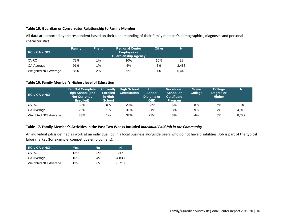#### **Table 15. Guardian or Conservator Relationship to Family Member**

All data are reported by the respondent based on their understanding of their family member's demographics, diagnoses and personal characteristics.

| <b>RC v CA v NCI</b> | <b>Family</b> | <b>Friend</b> | <b>Regional Center</b><br><b>Employee or</b><br><b>Guardianship Agency</b> | <b>Other</b> | N     |
|----------------------|---------------|---------------|----------------------------------------------------------------------------|--------------|-------|
| <b>CVRC</b>          | 79%           | $1\%$         | 10%                                                                        | 10%          | 81    |
| CA Average           | 91%           | $1\%$         | 5%                                                                         | 3%           | 2,483 |
| Weighted NCI Average | 86%           | 2%            | 9%                                                                         | 4%           | 5.449 |

#### **Table 16. Family Member's Highest level of Education**

<span id="page-15-0"></span>

| <b>RC v CA v NCI</b> | <b>Did Not Complete</b><br><b>High School (and</b><br><b>Not Currently</b><br>Enrolled) | <b>Currently</b><br><b>Enrolled</b><br>in High<br><b>School</b> | <b>High School</b><br><b>Certification</b> | <b>High</b><br><b>School</b><br>Diploma or<br><b>GED</b> | <b>Vocational</b><br><b>School or</b><br><b>Certificate</b><br><b>Program</b> | <b>Some</b><br>College \ | <b>College</b><br>Degree or<br><b>Higher</b> |       |
|----------------------|-----------------------------------------------------------------------------------------|-----------------------------------------------------------------|--------------------------------------------|----------------------------------------------------------|-------------------------------------------------------------------------------|--------------------------|----------------------------------------------|-------|
| <b>CVRC</b>          | 30%                                                                                     | 0%                                                              | 29%                                        | 23%                                                      | 5%                                                                            | 8%                       | 5%                                           | 220   |
| CA Average           | 28%                                                                                     | $1\%$                                                           | 31%                                        | 21%                                                      | 3%                                                                            | 9%                       | 7%                                           | 4,913 |
| Weighted NCI Average | 33%                                                                                     | 1%                                                              | 32%                                        | 23%                                                      | 3%                                                                            | 4%                       | 5%                                           | 8,722 |

#### **Table 17. Family Member's Activities in the Past Two Weeks Included** *Individual Paid Job in the Community*

<span id="page-15-1"></span>An individual job is defined as work at an individual job in a local business alongside peers who do not have disabilities. Job is part of the typical labor market (for example, competitive employment).

<span id="page-15-2"></span>

| <b>RC v CA v NCI</b> | Yes | No  | N     |
|----------------------|-----|-----|-------|
| <b>CVRC</b>          | 12% | 88% | 217   |
| CA Average           | 16% | 84% | 4.833 |
| Weighted NCI Average | 12% | 88% | 8.713 |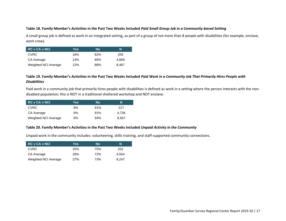#### **Table 18. Family Member's Activities in the Past Two Weeks Included** *Paid Small Group Job in a Community-based Setting*

A small group job is defined as work in an integrated setting, as part of a group of not more than 8 people with disabilities (for example, enclave, work crew).

| <b>RC v CA v NCI</b> | Yes | <b>No</b> | N     |
|----------------------|-----|-----------|-------|
| <b>CVRC</b>          | 18% | 82%       | 205   |
| CA Average           | 14% | 86%       | 4.669 |
| Weighted NCI Average | 12% | 88%       | 8.467 |

#### **Table 19. Family Member's Activities in the Past Two Weeks Included** *Paid Work in a Community Job That Primarily Hires People with Disabilities*

<span id="page-16-0"></span>Paid work in a community job that primarily hires people with disabilities is defined as work in a setting where the person interacts with the nondisabled population; this is NOT in a traditional sheltered workshop and NOT enclave.

| <b>RC v CA v NCI</b> | Yes | No  | N     |
|----------------------|-----|-----|-------|
| <b>CVRC</b>          | 9%  | 91% | 217   |
| CA Average           | 9%  | 91% | 4.736 |
| Weighted NCI Average | 6%  | 94% | 8.567 |

#### **Table 20. Family Member's Activities in the Past Two Weeks Included** *Unpaid Activity in the Community*

<span id="page-16-1"></span>Unpaid work in the community includes: volunteering, skills training, and staff-supported community connections.

<span id="page-16-2"></span>

| <b>RC v CA v NCI</b> | Yes | No  | N     |
|----------------------|-----|-----|-------|
| <b>CVRC</b>          | 25% | 75% | 202   |
| CA Average           | 28% | 72% | 4.554 |
| Weighted NCI Average | 27% | 73% | 8.247 |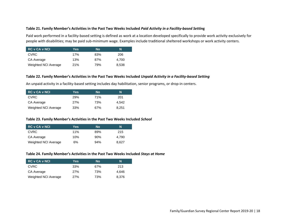#### **Table 21. Family Member's Activities in the Past Two Weeks Included** *Paid Activity in a Facility-based Settin***g**

Paid work performed in a facility-based setting is defined as work at a location developed specifically to provide work activity exclusively for people with disabilities; may be paid sub-minimum wage. Examples include traditional sheltered workshops or work activity centers.

| <b>RC v CA v NCI</b> | Yes. | No  | N     |
|----------------------|------|-----|-------|
| <b>CVRC</b>          | 17%  | 83% | 206   |
| CA Average           | 13%  | 87% | 4.700 |
| Weighted NCI Average | 21%  | 79% | 8.538 |

#### **Table 22. Family Member's Activities in the Past Two Weeks Included** *Unpaid Activity in a Facility-based Setting*

An unpaid activity in a facility-based setting includes day habilitation, senior programs, or drop-in centers.

<span id="page-17-0"></span>

| <b>RC v CA v NCI</b> | Yes | No  | N     |
|----------------------|-----|-----|-------|
| <b>CVRC</b>          | 29% | 71% | 201   |
| CA Average           | 27% | 73% | 4.542 |
| Weighted NCI Average | 33% | 67% | 8.251 |

#### **Table 23. Family Member's Activities in the Past Two Weeks Included** *School*

<span id="page-17-1"></span>

| <b>RC v CA v NCI</b> | Yes | <b>No</b> | N     |
|----------------------|-----|-----------|-------|
| <b>CVRC</b>          | 11% | 89%       | 215   |
| CA Average           | 10% | 90%       | 4.790 |
| Weighted NCI Average | 6%  | 94%       | 8.627 |

#### **Table 24. Family Member's Activities in the Past Two Weeks Included** *Stays at Home*

<span id="page-17-3"></span><span id="page-17-2"></span>

| <b>RC v CA v NCI</b> | Yes | No  | N     |
|----------------------|-----|-----|-------|
| <b>CVRC</b>          | 33% | 67% | 213   |
| CA Average           | 27% | 73% | 4.646 |
| Weighted NCI Average | 27% | 73% | 8.376 |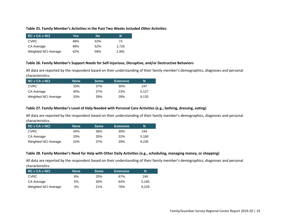#### **Table 25. Family Member's Activities in the Past Two Weeks Included** *Other Activities*

| <b>RC v CA v NCI</b> | Yes | No  | N     |
|----------------------|-----|-----|-------|
| <b>CVRC</b>          | 48% | 52% | 73    |
| CA Average           | 48% | 52% | 1.726 |
| Weighted NCI Average | 42% | 58% | 2.991 |

#### **Table 26. Family Member's Support Needs for Self-Injurious, Disruptive, and/or Destructive Behaviors**

All data are reported by the respondent based on their understanding of their family member's demographics, diagnoses and personal characteristics.

<span id="page-18-0"></span>

| <b>RC v CA v NCI</b> | <b>None</b> | <b>Some</b> | <b>Extensive</b> | N     |
|----------------------|-------------|-------------|------------------|-------|
| CVRC                 | 33%         | 37%         | 30%              | 247   |
| CA Average           | 40%         | 37%         | 23%              | 5.127 |
| Weighted NCI Average | 33%         | 39%         | 28%              | 9.135 |

#### **Table 27. Family Member's Level of Help Needed with Personal Care Activities (e.g., bathing, dressing, eating)**

All data are reported by the respondent based on their understanding of their family member's demographics, diagnoses and personal characteristics.

<span id="page-18-1"></span>

| <b>RC v CA v NCI</b> | <b>None</b> | <b>Some</b> | <b>Extensive</b> | N     |
|----------------------|-------------|-------------|------------------|-------|
| <b>CVRC</b>          | 34%         | 36%         | 30%              | 244   |
| CA Average           | 33%         | 35%         | 32%              | 5.180 |
| Weighted NCI Average | 24%         | 37%         | 39%              | 9.235 |

#### **Table 28. Family Member's Need for Help with Other Daily Activities (e.g., scheduling, managing money, or shopping)**

All data are reported by the respondent based on their understanding of their family member's demographics, diagnoses and personal characteristics.

<span id="page-18-3"></span><span id="page-18-2"></span>

| <b>RC v CA v NCI</b> | <b>None</b> | <b>Some</b> | <b>Extensive</b> | N     |
|----------------------|-------------|-------------|------------------|-------|
| <b>CVRC</b>          | 8%          | 25%         | 67%              | 240   |
| CA Average           | 5%          | 30%         | 64%              | 5.165 |
| Weighted NCI Average | 3%          | 21%         | 76%              | 9.229 |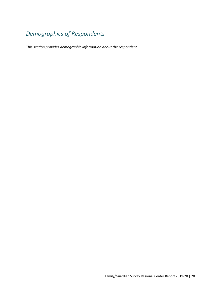# <span id="page-19-0"></span>*Demographics of Respondents*

*This section provides demographic information about the respondent.*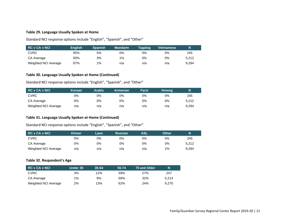#### **Table 29. Language Usually Spoken at Home**

Standard NCI response options include "English", "Spanish", and "Other"

| <b>RC v CA v NCI</b> | <b>English</b> | <b>∖Spanish</b> | <b>Mandarin</b> | Tagalog | <b>Vietnamese</b> | N     |
|----------------------|----------------|-----------------|-----------------|---------|-------------------|-------|
| <b>CVRC</b>          | 95%            | 5%              | 0%              | 0%      | 0%                | 245   |
| CA Average           | 93%            | 3%              | $1\%$           | 0%      | 0%                | 5.212 |
| Weighted NCI Average | 97%            | 1%              | n/a             | n/a     | n/a               | 9.284 |

#### **Table 30. Language Usually Spoken at Home (Continued)**

Standard NCI response options include "English", "Spanish", and "Other"

<span id="page-20-0"></span>

| <b>RC v CA v NCI</b> | Korean | <b>Arabic</b> | <b>Armenian</b> | Farsi | <b>Hmong</b> | Ν     |
|----------------------|--------|---------------|-----------------|-------|--------------|-------|
| <b>CVRC</b>          | 0%     | 0%            | 0%              | 0%    | 0%           | 245   |
| CA Average           | 0%     | 0%            | 0%              | 0%    | 0%           | 5.212 |
| Weighted NCI Average | n/a    | n/a           | n/a             | n/a   | n/a          | 9.284 |

#### **Table 31. Language Usually Spoken at Home (Continued)**

Standard NCI response options include "English", "Spanish", and "Other"

<span id="page-20-1"></span>

| <b>RC v CA v NCI</b> | <b>Khmer</b> | Laos | <b>Russian</b> | ASL | <b>Other</b> | Ν     |
|----------------------|--------------|------|----------------|-----|--------------|-------|
| <b>CVRC</b>          | 0%           | 0%   | 0%             | 0%  | 0%           | 245   |
| CA Average           | 0%           | 0%   | 0%             | 0%  | 3%           | 5.212 |
| Weighted NCI Average | n/a          | n/a  | n/a            | n/a | $1\%$        | 9.284 |

#### **Table 32. Respondent's Age**

<span id="page-20-3"></span><span id="page-20-2"></span>

| <b>RC v CA v NCI</b> | Under 35 | $35 - 54$ | 55-74 | 75 and Older | N     |
|----------------------|----------|-----------|-------|--------------|-------|
| <b>CVRC</b>          | 3%       | 12%       | 59%   | 27%          | 247   |
| CA Average           | 1%       | 8%        | 59%   | 32%          | 5.214 |
| Weighted NCI Average | 2%       | 13%       | 62%   | 24%          | 9.270 |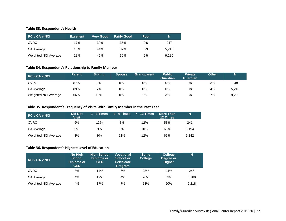#### **Table 33. Respondent's Health**

| <b>RC v CA v NCI</b> | <b>Excellent</b> | <b>Very Good</b> | <b>Fairly Good</b> | Poor | N     |
|----------------------|------------------|------------------|--------------------|------|-------|
| <b>CVRC</b>          | 17%              | 39%              | 35%                | 9%   | 247   |
| CA Average           | 18%              | 44%              | 32%                | 6%   | 5.213 |
| Weighted NCI Average | 18%              | 46%              | 32%                | 5%   | 9.280 |

#### **Table 34. Respondent's Relationship to Family Member**

| RC v CA v NCI        | <b>Parent</b> | <b>Sibling</b> | <b>Spouse</b> | <b>Grandparent</b> | <b>Public</b><br><b>Guardian</b> | <b>Private</b><br><b>Guardian</b> | <b>Other</b> |       |
|----------------------|---------------|----------------|---------------|--------------------|----------------------------------|-----------------------------------|--------------|-------|
| CVRC                 | 87%           | 9%             | 0%            | 0%                 | 0%                               | 0%                                | 3%           | 248   |
| CA Average           | 89%           | 7%             | 0%            | 0%                 | 0%                               | 0%                                | 4%           | 5,218 |
| Weighted NCI Average | 66%           | 19%            | 0%            | $1\%$              | 3%                               | 3%                                | 7%           | 9.280 |

#### <span id="page-21-0"></span>**Table 35. Respondent's Frequency of Visits With Family Member in the Past Year**

<span id="page-21-1"></span>

| <b>RC v CA v NCI</b> | <b>Did Not</b><br>Visit | 1 - $3$ Times | $4 - 6$ Times | <b>7 - 12 Times</b> | <b>More Than</b><br><b>12 Times</b> | N     |
|----------------------|-------------------------|---------------|---------------|---------------------|-------------------------------------|-------|
| <b>CVRC</b>          | 9%                      | 13%           | 8%            | 12%                 | 58%                                 | 241   |
| CA Average           | 5%                      | 9%            | 8%            | 10%                 | 68%                                 | 5.194 |
| Weighted NCI Average | 3%                      | 9%            | 11%           | 12%                 | 65%                                 | 9.242 |

#### **Table 36. Respondent's Highest Level of Education**

<span id="page-21-3"></span><span id="page-21-2"></span>

| <b>RC v CA v NCI</b> | No High<br><b>School</b><br>'Diploma or<br><b>GED</b> | <b>High School</b><br>Diploma or<br><b>GED</b> | <b>Vocational</b><br>School or<br><b>Certificate</b><br><b>Program</b> | <b>Some</b><br><b>College</b> | <b>College</b><br>Degree or<br><b>Higher</b> | N     |
|----------------------|-------------------------------------------------------|------------------------------------------------|------------------------------------------------------------------------|-------------------------------|----------------------------------------------|-------|
| <b>CVRC</b>          | 8%                                                    | 14%                                            | 6%                                                                     | 28%                           | 44%                                          | 246   |
| CA Average           | 4%                                                    | 12%                                            | 4%                                                                     | 26%                           | 53%                                          | 5,180 |
| Weighted NCI Average | 4%                                                    | 17%                                            | 7%                                                                     | 23%                           | 50%                                          | 9.218 |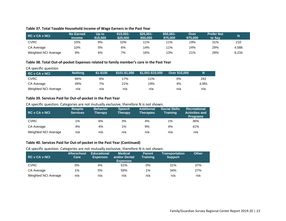#### **Table 37. Total Taxable Household Income of Wage Earners in the Past Year**

| RC v CA v NCI        | <b>No Earned</b><br><b>Income</b> | Up to<br>\$15.000 | $$15.001-$<br>\$25,000 | $$25.001 -$<br>\$50,000 | $$50.001-$<br>\$75,000 | Over<br>\$75,000 | <b>Prefer Not</b><br>to Say | N     |
|----------------------|-----------------------------------|-------------------|------------------------|-------------------------|------------------------|------------------|-----------------------------|-------|
| CVRC                 | 10%                               | 9%                | 10%                    | 11%                     | 11%                    | 19%              | 31%                         | 210   |
| CA Average           | 10%                               | 5%                | 6%                     | 14%                     | 11%                    | 24%              | 29%                         | 4,588 |
| Weighted NCI Average | 9%                                | 6%                | 7%                     | 16%                     | 13%                    | 21%              | 28%                         | 8.234 |

#### **Table 38. Total Out-of-pocket Expenses related to family member's care in the Past Year**

#### CA specific question

| <b>RC v CA v NCI</b> | <b>Nothing</b> | $$1 - $100$ | \$101-\$1.000 | \$1,001-\$10,000 | <b>Over \$10,000</b> | N     |
|----------------------|----------------|-------------|---------------|------------------|----------------------|-------|
| <b>CVRC</b>          | 66%            | 6%          | 7%            | 11%              | 0%                   | 242   |
| CA Average           | 49%            | 7%          | 21%           | 19%              | 4%                   | 4.991 |
| Weighted NCI Average | n/a            | n/a         | n/a           | n/a              | n/a                  | n/a   |

#### <span id="page-22-0"></span>**Table 39. Services Paid for Out-of-pocket in the Past Year**

CA specific question. Categories are not mutually exclusive, therefore N is not shown.

<span id="page-22-1"></span>

| <b>RC v CA v NCI</b> | <b>Respite</b><br><b>Services</b> | <b>Behavior</b><br><b>Therapy</b> | <b>Speech</b><br><b>Therapy</b> | <b>Additional</b><br><b>Therapies</b> | <b>Social Skills</b><br><b>Training</b> | <b>Recreational</b><br><b>Activities and</b><br><b>Programs</b> |
|----------------------|-----------------------------------|-----------------------------------|---------------------------------|---------------------------------------|-----------------------------------------|-----------------------------------------------------------------|
| <b>CVRC</b>          | $1\%$                             | 6%                                | 3%                              | 4%                                    | 1%                                      | 36%                                                             |
| CA Average           | 4%                                | 4%                                | $1\%$                           | 9%                                    | 4%                                      | 41%                                                             |
| Weighted NCI Average | n/a                               | n/a                               | n/a                             | n/a                                   | n/a                                     | n/a                                                             |

#### **Table 40. Services Paid for Out-of-pocket in the Past Year (Continued)**

CA specific question. Categories are not mutually exclusive, therefore N is not shown.

<span id="page-22-3"></span><span id="page-22-2"></span>

| RC v CA v NCI        | <b>Afterschool</b><br>Care | <b>Educational</b><br><b>Expenses</b> | <b>Medical</b><br>and/or Dental<br><b>Expenses</b> | <b>Parent</b><br>Training | <b>Transportation</b><br><b>Support</b> | <b>Other</b> |
|----------------------|----------------------------|---------------------------------------|----------------------------------------------------|---------------------------|-----------------------------------------|--------------|
| <b>CVRC</b>          | 0%                         | 4%                                    | 51%                                                | 0%                        | 31%                                     | 37%          |
| CA Average           | $1\%$                      | 5%                                    | 59%                                                | $1\%$                     | 34%                                     | 27%          |
| Weighted NCI Average | n/a                        | n/a                                   | n/a                                                | n/a                       | n/a                                     | n/a          |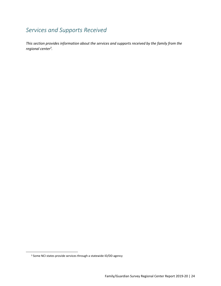# <span id="page-23-0"></span>*Services and Supports Received*

*This section provides information about the services and supports received by the family from the regional center<sup>3</sup> .*

<sup>3</sup> Some NCI states provide services through a statewide ID/DD agency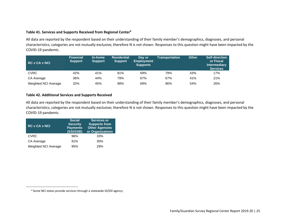#### **Table 41. Services and Supports Received from Regional Center<sup>4</sup>**

All data are reported by the respondent based on their understanding of their family member's demographics, diagnoses, and personal characteristics; categories are not mutually exclusive; therefore N is not shown. Responses to this question might have been impacted by the COVID-19 pandemic.

| <b>RC v CA v NCI</b> | <b>Financial</b><br>Support | In-home<br><b>Support</b> | <b>Residential</b><br><b>Support</b> | Day or<br><b>Employment</b><br><b>Supports</b> | Transportation | <b>Other</b> | Self-direction<br>or Fiscal<br><b>Intermediary</b><br><b>Services</b> |
|----------------------|-----------------------------|---------------------------|--------------------------------------|------------------------------------------------|----------------|--------------|-----------------------------------------------------------------------|
| <b>CVRC</b>          | 42%                         | 41%                       | 81%                                  | 69%                                            | 79%            | 43%          | 17%                                                                   |
| CA Average           | 36%                         | 44%                       | 79%                                  | 67%                                            | 67%            | 41%          | 21%                                                                   |
| Weighted NCI Average | 32%                         | 45%                       | 88%                                  | 69%                                            | 86%            | 54%          | 26%                                                                   |

#### <span id="page-24-0"></span>**Table 42. Additional Services and Supports Received**

All data are reported by the respondent based on their understanding of their family member's demographics, diagnoses, and personal characteristics; categories are not mutually exclusive; therefore N is not shown. Responses to this question might have been impacted by the COVID-19 pandemic.

<span id="page-24-1"></span>

| <b>RC v CA v NCI</b> | <b>Social</b><br><b>Security</b><br><b>Payments</b><br>(SSI/SSB) | <b>Services or</b><br><b>Supports from</b><br><b>Other Agencies</b><br>or Organizations |
|----------------------|------------------------------------------------------------------|-----------------------------------------------------------------------------------------|
| <b>CVRC</b>          | 96%                                                              | 33%                                                                                     |
| CA Average           | 91%                                                              | 30%                                                                                     |
| Weighted NCI Average | 95%                                                              | 29%                                                                                     |

<sup>4</sup> Some NCI states provide services through a statewide ID/DD agency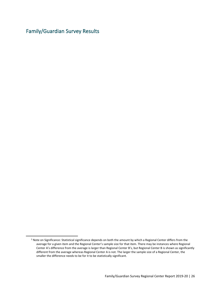<span id="page-25-0"></span>Family/Guardian Survey Results<sup>5</sup>

<sup>5</sup> Note on Significance: Statistical significance depends on both the amount by which a Regional Center differs from the average for a given item and the Regional Center's sample size for that item. There may be instances where Regional Center A's difference from the average is larger than Regional Center B's, but Regional Center B is shown as significantly different from the average whereas Regional Center A is not. The larger the sample size of a Regional Center, the smaller the difference needs to be for it to be statistically significant.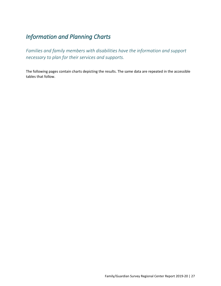# <span id="page-26-0"></span>*Information and Planning Charts*

<span id="page-26-1"></span>*Families and family members with disabilities have the information and support necessary to plan for their services and supports.*

The following pages contain charts depicting the results. The same data are repeated in the accessible tables that follow.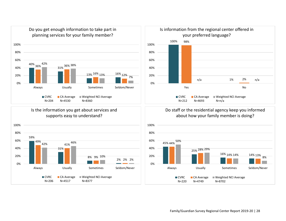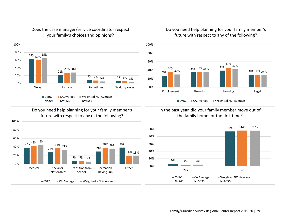



Do you need help planning for your family member's future with respect to any of the following?



#### In the past year, did your family member move out of the family home for the first time?

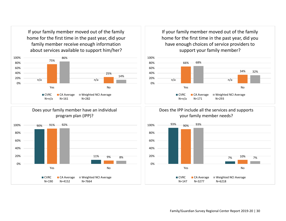If your family member moved out of the family home for the first time in the past year, did your family member receive enough information about services available to support him/her?







If your family member moved out of the family home for the first time in the past year, did you have enough choices of service providers to support your family member?







Family/Guardian Survey Regional Center Report 2019-20 | 30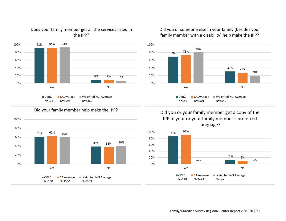



Did you or someone else in your family (besides your family member with a disability) help make the IPP?



Did you or your family member get a copy of the IPP in your or your family member's preferred language?

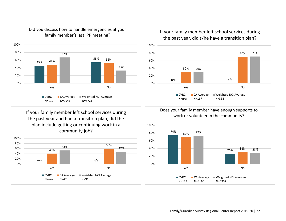

If your family member left school services during the past year and had a transition plan, did the plan include getting or continuing work in a community job?







Does your family member have enough supports to work or volunteer in the community?

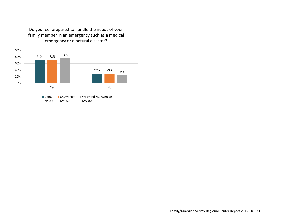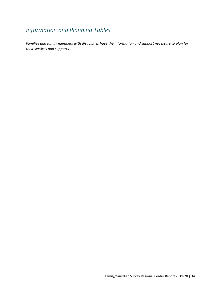# <span id="page-33-0"></span>*Information and Planning Tables*

*Families and family members with disabilities have the information and support necessary to plan for their services and supports.*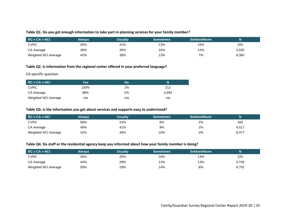#### **Table Q1. Do you get enough information to take part in planning services for your family member?**

| RC v CA v NCI        | Always | Usually | <b>Sometimes</b> | Seldom/Never |       |
|----------------------|--------|---------|------------------|--------------|-------|
| <b>CVRC</b>          | 40%    | 31%     | 13%              | 16%          | 204   |
| CA Average           | 36%    | 36%     | 16%              | 12%          | 4,530 |
| Weighted NCI Average | 42%    | 38%     | 13%              | 7%           | 8,360 |

#### **Table Q2. Is information from the regional center offered in your preferred language?**

#### CA specific question

<span id="page-34-0"></span>

| <b>RC v CA v NCI</b> | Yes. | <b>No</b> | N     |
|----------------------|------|-----------|-------|
| <b>CVRC</b>          | 100% | $1\%$     | 212   |
| CA Average           | 98%  | 2%        | 4.693 |
| Weighted NCI Average | n/a  | n/a       | n/a   |

#### **Table Q3. Is the information you get about services and supports easy to understand?**

<span id="page-34-1"></span>

| <b>RC v CA v NCI</b> | Alwavs | <b>Usually</b> | <b>Sometimes</b> | Seldom/Never |       |
|----------------------|--------|----------------|------------------|--------------|-------|
| <b>CVRC</b>          | 59%    | 31%            | 8%               | 2%           | 206   |
| CA Average           | 49%    | 41%            | 9%               | 2%           | 4,517 |
| Weighted NCI Average | 42%    | 46%            | 10%              | 2%           | 8,377 |

#### **Table Q4. Do staff or the residential agency keep you informed about how your family member is doing?**

<span id="page-34-3"></span><span id="page-34-2"></span>

| <b>RC v CA v NCI</b> | Always | Usually | <b>Sometimes</b> | Seldom/Never |       |
|----------------------|--------|---------|------------------|--------------|-------|
| <b>CVRC</b>          | 45%    | 25%     | 16%              | 14%          | 220   |
| CA Average           | 44%    | 28%     | 14%              | 13%          | 4,749 |
| Weighted NCI Average | 50%    | 29%     | 14%              | 8%           | 8,702 |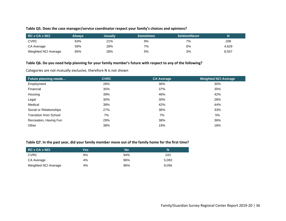#### **Table Q5. Does the case manager/service coordinator respect your family's choices and opinions?**

| <b>RC v CA v NCI</b> | <b>Always</b> | Usuallv | <b>Sometimes</b> | Seldom/Never |       |
|----------------------|---------------|---------|------------------|--------------|-------|
| <b>CVRC</b>          | 63%           | 21%     | 9%               | 7%           | 208   |
| CA Average           | 59%           | 28%     | 7%               | 6%           | 4,629 |
| Weighted NCI Average | 65%           | 28%     | 5%               | 3%           | 8,557 |

#### **Table Q6. Do you need help planning for your family member's future with respect to any of the following?**

Categories are not mutually exclusive, therefore N is not shown

<span id="page-35-0"></span>

| <b>Future planning needs</b>  | <b>CVRC</b> | <b>CA Average</b> | <b>Weighted NCI Average</b> |
|-------------------------------|-------------|-------------------|-----------------------------|
| Employment                    | 28%         | 36%               | 30%                         |
| Financial                     | 35%         | 37%               | 35%                         |
| Housing                       | 39%         | 46%               | 42%                         |
| Legal                         | 30%         | 30%               | 28%                         |
| Medical                       | 38%         | 42%               | 44%                         |
| Social or Relationships       | 27%         | 36%               | 33%                         |
| <b>Transition from School</b> | 7%          | 7%                | 5%                          |
| Recreation, Having Fun        | 29%         | 38%               | 36%                         |
| Other                         | 38%         | 19%               | 18%                         |

#### <span id="page-35-1"></span>**Table Q7. In the past year, did your family member move out of the family home for the first time?**

<span id="page-35-2"></span>

| <b>RC v CA v NCI</b> | Yes. | No  | N     |
|----------------------|------|-----|-------|
| <b>CVRC</b>          | 6%   | 94% | 243   |
| CA Average           | 4%   | 96% | 5.093 |
| Weighted NCI Average | 4%   | 96% | 9.056 |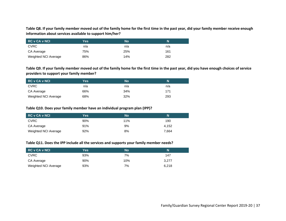**Table Q8. If your family member moved out of the family home for the first time in the past year, did your family member receive enough information about services available to support him/her?**

| <b>RC v CA v NCI</b> | Yes. | <b>No</b> | N   |
|----------------------|------|-----------|-----|
| <b>CVRC</b>          | n/a  | n/a       | n/a |
| CA Average           | 75%  | 25%       | 161 |
| Weighted NCI Average | 86%  | 14%       | 282 |

**Table Q9. If your family member moved out of the family home for the first time in the past year, did you have enough choices of service providers to support your family member?**

| RC v CA v NCI        | Yes. | No  | N   |
|----------------------|------|-----|-----|
| <b>CVRC</b>          | n/a  | n/a | n/a |
| CA Average           | 66%  | 34% | 171 |
| Weighted NCI Average | 68%  | 32% | 293 |

#### **Table Q10. Does your family member have an individual program plan (IPP)?**

| <b>RC v CA v NCI</b> | Yes | No  | N     |
|----------------------|-----|-----|-------|
| <b>CVRC</b>          | 90% | 11% | 190   |
| CA Average           | 91% | 9%  | 4.152 |
| Weighted NCI Average | 92% | 8%  | 7,664 |

#### **Table Q11. Does the IPP include all the services and supports your family member needs?**

| <b>RC v CA v NCI</b> | Yes | No  | N     |
|----------------------|-----|-----|-------|
| <b>CVRC</b>          | 93% | 7%  | 147   |
| CA Average           | 90% | 10% | 3.277 |
| Weighted NCI Average | 93% | 7%  | 6.218 |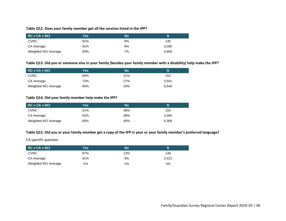#### **Table Q12. Does your family member get all the services listed in the IPP?**

| RC v CA v NCI        | Yes' | No | N     |
|----------------------|------|----|-------|
| <b>CVRC</b>          | 91%  | 9% | 135   |
| CA Average           | 91%  | 9% | 3,095 |
| Weighted NCI Average | 93%  | 7% | 5,869 |

#### **Table Q13. Did you or someone else in your family (besides your family member with a disability) help make the IPP?**

| RC v CA v NCI        | Yes | <b>No</b> | N     |
|----------------------|-----|-----------|-------|
| <b>CVRC</b>          | 69% | 31%       | 152   |
| CA Average           | 73% | 27%       | 3.501 |
| Weighted NCI Average | 80% | 20%       | 6.540 |

#### **Table Q14. Did your family member help make the IPP?**

| <b>RC v CA v NCI</b> | Yes | No  | N     |
|----------------------|-----|-----|-------|
| <b>CVRC</b>          | 61% | 39% | 150   |
| CA Average           | 62% | 38% | 3,360 |
| Weighted NCI Average | 60% | 40% | 6,369 |

#### **Table Q15. Did you or your family member get a copy of the IPP in your or your family member's preferred language?**

CA specific question

| <b>RC v CA v NCI</b> | Yes | No  |       |
|----------------------|-----|-----|-------|
| <b>CVRC</b>          | 87% | 13% | 148   |
| CA Average           | 91% | 9%  | 3.423 |
| Weighted NCI Average | n/a | n/a | n/a   |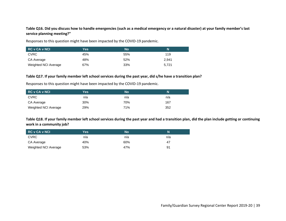#### **Table Q16. Did you discuss how to handle emergencies (such as a medical emergency or a natural disaster) at your family member's last service planning meeting?"**

Responses to this question might have been impacted by the COVID-19 pandemic.

| <b>RC v CA v NCI</b> | Yes. | No  | 'N    |
|----------------------|------|-----|-------|
| <b>CVRC</b>          | 45%  | 55% | 119   |
| CA Average           | 48%  | 52% | 2.941 |
| Weighted NCI Average | 67%  | 33% | 5,721 |

#### **Table Q17. If your family member left school services during the past year, did s/he have a transition plan?**

Responses to this question might have been impacted by the COVID-19 pandemic.

| <b>RC v CA v NCI</b> | Yes | No  | N   |
|----------------------|-----|-----|-----|
| <b>CVRC</b>          | n/a | n/a | n/a |
| CA Average           | 30% | 70% | 167 |
| Weighted NCI Average | 29% | 71% | 352 |

**Table Q18. If your family member left school services during the past year and had a transition plan, did the plan include getting or continuing work in a community job?**

| <b>RC v CA v NCI</b> | Yes | <b>No</b> | N   |
|----------------------|-----|-----------|-----|
| <b>CVRC</b>          | n/a | n/a       | n/a |
| CA Average           | 40% | 60%       | 47  |
| Weighted NCI Average | 53% | 47%       | 91  |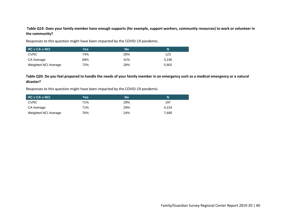#### **Table Q19. Does your family member have enough supports (for example, support workers, community resources) to work or volunteer in the community?**

Responses to this question might have been impacted by the COVID-19 pandemic.

| <b>RC v CA v NCI</b> | Yes. | <b>No</b> | N     |
|----------------------|------|-----------|-------|
| <b>CVRC</b>          | 74%  | 26%       | 123   |
| CA Average           | 69%  | 31%       | 3.195 |
| Weighted NCI Average | 72%  | 28%       | 5,902 |

#### **Table Q20. Do you feel prepared to handle the needs of your family member in an emergency such as a medical emergency or a natural disaster?**

Responses to this question might have been impacted by the COVID-19 pandemic.

| <b>RC v CA v NCI</b> | Yes | <b>No</b> | N     |
|----------------------|-----|-----------|-------|
| <b>CVRC</b>          | 71% | 29%       | 197   |
| CA Average           | 71% | 29%       | 4.224 |
| Weighted NCI Average | 76% | 24%       | 7.685 |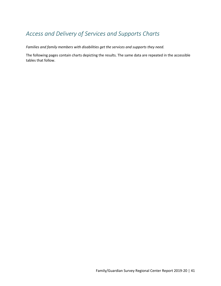## *Access and Delivery of Services and Supports Charts*

*Families and family members with disabilities get the services and supports they need.*

The following pages contain charts depicting the results. The same data are repeated in the accessible tables that follow.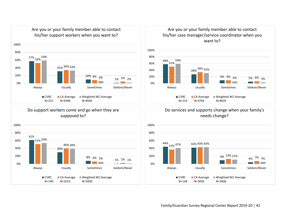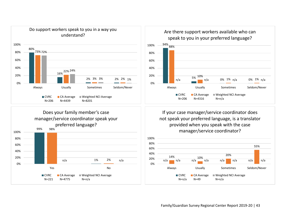





If your case manager/service coordinator does not speak your preferred language, is a translator provided when you speak with the case manager/service coordinator?



Family/Guardian Survey Regional Center Report 2019-20 | 43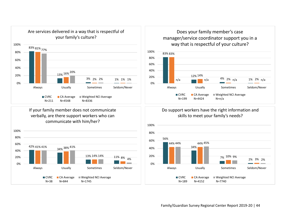

If your family member does not communicate verbally, are there support workers who can communicate with him/her?



### Does your family member's case manager/service coordinator support you in a way that is respectful of your culture?



### Do support workers have the right information and skills to meet your family's needs?

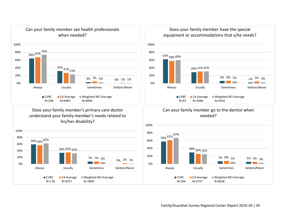

Does your family member's primary care doctor understand your family member's needs related to his/her disability?



Does your family member have the special equipment or accommodations that s/he needs?



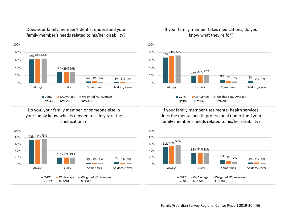

Does your family member's dentist understand your

Do you, your family member, or someone else in your family know what is needed to safely take the medications?





If your family member uses mental health services, does the mental health professional understand your family member's needs related to his/her disability?



If your family member takes medications, do you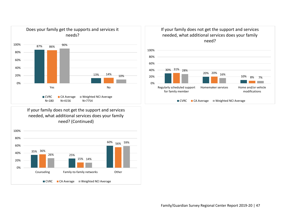

If your family does not get the support and services needed, what additional services does your family need? (Continued)





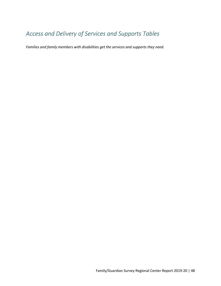## *Access and Delivery of Services and Supports Tables*

*Families and family members with disabilities get the services and supports they need.*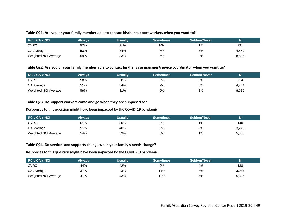#### **Table Q21. Are you or your family member able to contact his/her support workers when you want to?**

| RC v CA v NCI        | Always | <b>Usually</b> | <b>Sometimes</b> | Seldom/Never |       |
|----------------------|--------|----------------|------------------|--------------|-------|
| <b>CVRC</b>          | 57%    | 31%            | 10%              | 1%           | 221   |
| CA Average           | 53%    | 34%            | 8%               | 5%           | 4,580 |
| Weighted NCI Average | 59%    | 33%            | 6%               | 2%           | 8,505 |

#### **Table Q22. Are you or your family member able to contact his/her case manager/service coordinator when you want to?**

| RC v CA v NCI        | Alwavs | Usuallv | <b>Sometimes</b> | Seldom/Never |       |
|----------------------|--------|---------|------------------|--------------|-------|
| <b>CVRC</b>          | 58%    | 28%     | 9%               | 5%           | 214   |
| CA Average           | 51%    | 34%     | 9%               | 6%           | 4.704 |
| Weighted NCI Average | 59%    | 31%     | 6%               | 3%           | 8,635 |

#### **Table Q23. Do support workers come and go when they are supposed to?**

Responses to this question might have been impacted by the COVID-19 pandemic.

| RC v CA v NCI        | Always, | <b>Usually</b> | <b>Sometimes</b> | Seldom/Never |       |
|----------------------|---------|----------------|------------------|--------------|-------|
| <b>CVRC</b>          | 61%     | 30%            | 8%               | 1%           | 140   |
| CA Average           | 51%     | 40%            | 6%               | 2%           | 3,223 |
| Weighted NCI Average | 54%     | 39%            | 5%               | 1%           | 5,830 |

#### **Table Q24. Do services and supports change when your family's needs change?**

Responses to this question might have been impacted by the COVID-19 pandemic.

| <b>RC v CA v NCI</b> | <b>Always</b> | <b>Usually</b> | <b>Sometimes</b> | Seldom/Never |       |
|----------------------|---------------|----------------|------------------|--------------|-------|
| <b>CVRC</b>          | 44%           | 42%            | 9%               | 4%           | 138   |
| CA Average           | 37%           | 43%            | 13%              | 7%           | 3,056 |
| Weighted NCI Average | 41%           | 43%            | 11%              | 5%           | 5,836 |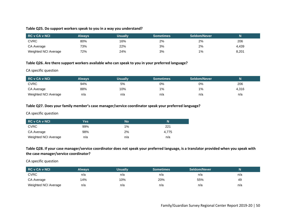#### **Table Q25. Do support workers speak to you in a way you understand?**

| <b>RC v CA v NCI</b> | Alwavs | Usually | <b>Sometimes</b> | Seldom/Never |       |
|----------------------|--------|---------|------------------|--------------|-------|
| <b>CVRC</b>          | 80%    | 16%     | 2%               | 2%           | 206   |
| CA Average           | 73%    | 22%     | 3%               | 2%           | 4.439 |
| Weighted NCI Average | 72%    | 24%     | 3%               | $1\%$        | 8,201 |

#### **Table Q26. Are there support workers available who can speak to you in your preferred language?**

CA specific question

| <b>RC v CA v NCI</b> | Alwavs | Usually | <b>Sometimes</b> | Seldom/Never |       |
|----------------------|--------|---------|------------------|--------------|-------|
| <b>CVRC</b>          | 94%    | 5%      | 0%               | 0%           | 206   |
| CA Average           | 88%    | 10%     | 1%               | 1%           | 4,316 |
| Weighted NCI Average | n/a    | n/a     | n/a              | n/a          | n/a   |

#### **Table Q27. Does your family member's case manager/service coordinator speak your preferred language?**

CA specific question

| RC v CA v NCI        | Yes | No    |       |
|----------------------|-----|-------|-------|
| <b>CVRC</b>          | 99% | $1\%$ | 221   |
| CA Average           | 98% | 2%    | 4.775 |
| Weighted NCI Average | n/a | n/a   | n/a   |

**Table Q28. If your case manager/service coordinator does not speak your preferred language, is a translator provided when you speak with the case manager/service coordinator?**

CA specific question

| RC v CA v NCI        | Always | <b>Usually</b> | <b>Sometimes</b> | Seldom/Never |     |
|----------------------|--------|----------------|------------------|--------------|-----|
| <b>CVRC</b>          | n/a    | n/a            | n/a              | n/a          | n/a |
| CA Average           | 14%    | 10%            | 20%              | 55%          | 49  |
| Weighted NCI Average | n/a    | n/a            | n/a              | n/a          | n/a |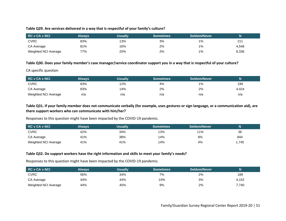#### **Table Q29. Are services delivered in a way that is respectful of your family's culture?**

| <b>RC v CA v NCI</b> | Always | Usually | <b>Sometimes</b> | <b>Seldom/Never</b> |       |
|----------------------|--------|---------|------------------|---------------------|-------|
| <b>CVRC</b>          | 83%    | 13%     | 3%               | $1\%$               | 21′   |
| CA Average           | 81%    | 16%     | 2%               | 1%                  | 4,548 |
| Weighted NCI Average | 77%    | 20%     | 2%               | 1%                  | 8,336 |

#### **Table Q30. Does your family member's case manager/service coordinator support you in a way that is respectful of your culture?**

CA specific question

| RC v CA v NCI        | Always | <b>Usually</b> | <b>Sometimes</b> | Seldom/Never |       |
|----------------------|--------|----------------|------------------|--------------|-------|
| <b>CVRC</b>          | 83%    | 12%            | 4%               | $1\%$        | 199   |
| CA Average           | 83%    | 14%            | 2%               | 2%           | 4.424 |
| Weighted NCI Average | n/a    | n/a            | n/a              | n/a          | n/a   |

#### **Table Q31. If your family member does not communicate verbally (for example, uses gestures or sign language, or a communication aid), are there support workers who can communicate with him/her?**

Responses to this question might have been impacted by the COVID-19 pandemic.

| <b>RC v CA v NCI</b> | <b>Always</b> | Usuallv | Sometimes | Seldom/Never |      |
|----------------------|---------------|---------|-----------|--------------|------|
| <b>CVRC</b>          | 42%           | 34%     | 13%       | 11%          | 38   |
| CA Average           | 41%           | 38%     | 14%       | 8%           | 844  |
| Weighted NCI Average | 41%           | 41%     | 14%       | 4%           | .745 |

#### **Table Q32. Do support workers have the right information and skills to meet your family's needs?**

Responses to this question might have been impacted by the COVID-19 pandemic.

| <b>RC v CA v NCI</b> | Always | Usually | <b>Sometimes</b> | Seldom/Never |       |
|----------------------|--------|---------|------------------|--------------|-------|
| <b>CVRC</b>          | 56%    | 34%     | 7%               | 2%           | 189   |
| CA Average           | 44%    | 44%     | 10%              | 3%           | 4,152 |
| Weighted NCI Average | 44%    | 45%     | 9%               | 2%           | 7,740 |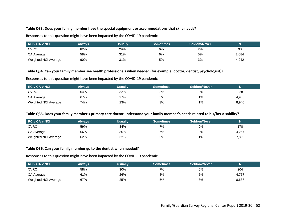#### **Table Q33. Does your family member have the special equipment or accommodations that s/he needs?**

Responses to this question might have been impacted by the COVID-19 pandemic.

| RC v CA v NCI        | Alwavs | <b>Usually</b> | <b>Sometimes</b> | Seldom/Never |       |
|----------------------|--------|----------------|------------------|--------------|-------|
| <b>CVRC</b>          | 62%    | 29%            | 6%               | 2%           | 93    |
| CA Average           | 58%    | 31%            | 6%               | 5%           | 2,084 |
| Weighted NCI Average | 60%    | 31%            | 5%               | 3%           | 4,242 |

#### **Table Q34. Can your family member see health professionals when needed (for example, doctor, dentist, psychologist)?**

Responses to this question might have been impacted by the COVID-19 pandemic.

| <b>RC v CA v NCI</b> | Alwavs | Usually | <b>Sometimes</b> \ | Seldom/Never |       |
|----------------------|--------|---------|--------------------|--------------|-------|
| <b>CVRC</b>          | 64%    | 32%     | 3%                 | 0%           | 228   |
| CA Average           | 67%    | 27%     | 5%                 | $1\%$        | 4,965 |
| Weighted NCI Average | 74%    | 23%     | 3%                 | $1\%$        | 8,940 |

#### **Table Q35. Does your family member's primary care doctor understand your family member's needs related to his/her disability?**

| <b>RC v CA v NCI</b> | Always | Usually | <b>Sometimes</b> | Seldom/Never |       |
|----------------------|--------|---------|------------------|--------------|-------|
| <b>CVRC</b>          | 59%    | 34%     | 7%               | 0%           | 178   |
| CA Average           | 56%    | 35%     | 7%               | 2%           | 4,257 |
| Weighted NCI Average | 62%    | 32%     | 5%               | 1%           | 7,899 |

#### **Table Q36. Can your family member go to the dentist when needed?**

Responses to this question might have been impacted by the COVID-19 pandemic.

| <b>RC v CA v NCI</b> | Always i | <b>Usually</b> | <b>Sometimes</b> | Seldom/Never |       |
|----------------------|----------|----------------|------------------|--------------|-------|
| <b>CVRC</b>          | 58%      | 30%            | 7%               | 5%           | 204   |
| CA Average           | 61%      | 26%            | 8%               | 5%           | 4,757 |
| Weighted NCI Average | 67%      | 25%            | 5%               | 3%           | 8,638 |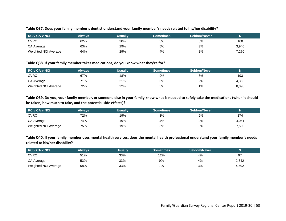#### **Table Q37. Does your family member's dentist understand your family member's needs related to his/her disability?**

| RC v CA v NCI        | Alwavs | Usually | <b>Sometimes</b> | <b>Seldom/Never</b> |       |
|----------------------|--------|---------|------------------|---------------------|-------|
| <b>CVRC</b>          | 62%    | 30%     | 5%               | 3%                  | 160   |
| CA Average           | 63%    | 29%     | 5%               | 3%                  | 3,940 |
| Weighted NCI Average | 64%    | 29%     | 4%               | 2%                  | 7,270 |

#### **Table Q38. If your family member takes medications, do you know what they're for?**

| RC v CA v NCI        | Alwavs | <b>Usually</b> | Sometimes | Seldom/Never | Ν     |
|----------------------|--------|----------------|-----------|--------------|-------|
| <b>CVRC</b>          | 67%    | 18%            | 9%        | 6%           | 193   |
| CA Average           | 71%    | 21%            | 6%        | 2%           | 4,353 |
| Weighted NCI Average | 72%    | 22%            | 5%        | $1\%$        | 8,098 |

**Table Q39. Do you, your family member, or someone else in your family know what is needed to safely take the medications (when it should be taken, how much to take, and the potential side effects)?**

| RC v CA v NCI        | <b>Always</b> | Usually | <b>Sometimes</b> | Seldom/Never |       |
|----------------------|---------------|---------|------------------|--------------|-------|
| <b>CVRC</b>          | 72%           | 19%     | 3%               | 6%           | 174   |
| CA Average           | 74%           | 19%     | 4%               | 3%           | 4,061 |
| Weighted NCI Average | 75%           | 19%     | 3%               | 3%           | 7,590 |

**Table Q40. If your family member uses mental health services, does the mental health professional understand your family member's needs related to his/her disability?**

| RC v CA v NCI        | Always | Usually | Sometimes | <b>Seldom/Never</b> |       |
|----------------------|--------|---------|-----------|---------------------|-------|
| <b>CVRC</b>          | 51%    | 33%     | 12%       | 4%                  | 97    |
| CA Average           | 53%    | 33%     | 9%        | 4%                  | 2,342 |
| Weighted NCI Average | 58%    | 33%     | 7%        | 3%                  | 4,592 |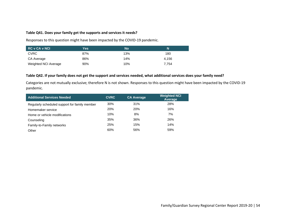#### **Table Q41. Does your family get the supports and services it needs?**

Responses to this question might have been impacted by the COVID-19 pandemic.

| <b>RC v CA v NCI</b> | Yes | <b>No</b> | N     |
|----------------------|-----|-----------|-------|
| <b>CVRC</b>          | 87% | 13%       | 180   |
| CA Average           | 86% | 14%       | 4.156 |
| Weighted NCI Average | 90% | 10%       | 7.754 |

#### **Table Q42. If your family does not get the support and services needed, what additional services does your family need?**

Categories are not mutually exclusive; therefore N is not shown. Responses to this question might have been impacted by the COVID-19 pandemic.

| <b>Additional Services Needed</b>             | <b>CVRC</b> | <b>CA Average</b> | <b>Weighted NCI</b><br>Average |
|-----------------------------------------------|-------------|-------------------|--------------------------------|
| Regularly scheduled support for family member | 30%         | 31%               | 28%                            |
| Homemaker service                             | 20%         | <b>20%</b>        | 16%                            |
| Home or vehicle modifications                 | 10%         | 8%                | 7%                             |
| Counseling                                    | 35%         | 36%               | 26%                            |
| Family-to-Family networks                     | 25%         | 15%               | 14%                            |
| Other                                         | 60%         | 56%               | 59%                            |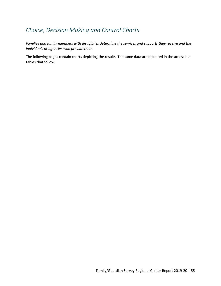## *Choice, Decision Making and Control Charts*

*Families and family members with disabilities determine the services and supports they receive and the individuals or agencies who provide them.*

The following pages contain charts depicting the results. The same data are repeated in the accessible tables that follow.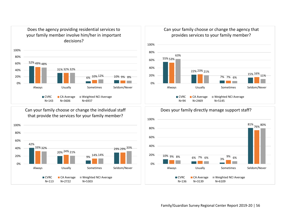



Can your family choose or change the individual staff that provide the services for your family member?



Can your family choose or change the agency that provides services to your family member?



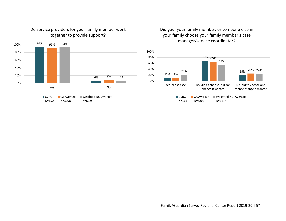

Did you, your family member, or someone else in your family choose your family member's case manager/service coordinator?

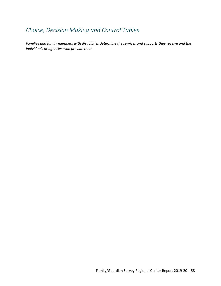## *Choice, Decision Making and Control Tables*

*Families and family members with disabilities determine the services and supports they receive and the individuals or agencies who provide them.*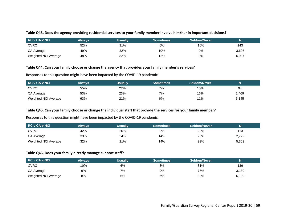#### **Table Q43. Does the agency providing residential services to your family member involve him/her in important decisions?**

| <b>RC v CA v NCI</b> | Alwavs | <b>Usually</b> | <b>Sometimes</b> | Seldom/Never |       |
|----------------------|--------|----------------|------------------|--------------|-------|
| <b>CVRC</b>          | 52%    | 31%            | 6%               | 10%          | 143   |
| CA Average           | 49%    | 32%            | 10%              | 9%           | 3,606 |
| Weighted NCI Average | 48%    | 32%            | 12%              | 8%           | 6,937 |

#### **Table Q44. Can your family choose or change the agency that provides your family member's services?**

Responses to this question might have been impacted by the COVID-19 pandemic.

| <b>RC v CA v NCI</b> | Always | Usually | <b>Sometimes</b> | Seldom/Never |       |
|----------------------|--------|---------|------------------|--------------|-------|
| <b>CVRC</b>          | 55%    | 22%     | 7%               | 15%          | 94    |
| CA Average           | 53%    | 23%     | 7%               | 16%          | 2,469 |
| Weighted NCI Average | 63%    | 21%     | 6%               | 11%          | 5,145 |

#### **Table Q45. Can your family choose or change the individual staff that provide the services for your family member?**

Responses to this question might have been impacted by the COVID-19 pandemic.

| <b>RC v CA v NCI</b> | Always | <b>Usually</b> | <b>Sometimes</b> | Seldom/Never |       |
|----------------------|--------|----------------|------------------|--------------|-------|
| <b>CVRC</b>          | 42%    | 20%            | 9%               | 29%          | 113   |
| CA Average           | 33%    | 24%            | 14%              | 29%          | 2,722 |
| Weighted NCI Average | 32%    | 21%            | 14%              | 33%          | 5,303 |

#### **Table Q46. Does your family directly manage support staff?**

| <b>RC v CA v NCI</b> | Always | Usually | <b>Sometimes</b> | Seldom/Never |       |
|----------------------|--------|---------|------------------|--------------|-------|
| <b>CVRC</b>          | 10%    | 6%      | 3%               | 81%          | 136   |
| CA Average           | 9%     | 7%      | 9%               | 76%          | 3,139 |
| Weighted NCI Average | 8%     | 6%      | 6%               | 80%          | 6,109 |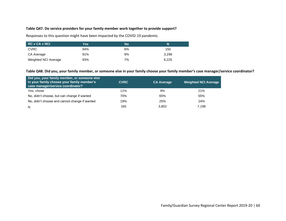#### **Table Q47. Do service providers for your family member work together to provide support?**

Responses to this question might have been impacted by the COVID-19 pandemic.

| <b>RC v CA v NCI</b> | Yes | No | N     |
|----------------------|-----|----|-------|
| <b>CVRC</b>          | 94% | 6% | 150   |
| CA Average           | 91% | 9% | 3.298 |
| Weighted NCI Average | 93% | 7% | 6,225 |

#### **Table Q48. Did you, your family member, or someone else in your family choose your family member's case manager/service coordinator?**

| Did you, your family member, or someone else<br>in your family choose your family member's <b>butter</b><br>case manager/service coordinator? | <b>CVRC</b> | <b>CA Average</b> | <b>Weighted NCI Average</b> |
|-----------------------------------------------------------------------------------------------------------------------------------------------|-------------|-------------------|-----------------------------|
| Yes, chose                                                                                                                                    | 11%         | 9%                | 21%                         |
| No, didn't choose, but can change if wanted                                                                                                   | 70%         | 65%               | 55%                         |
| No, didn't choose and cannot change if wanted                                                                                                 | 19%         | 25%               | 24%                         |
| <sup>N</sup>                                                                                                                                  | 165         | 3,802             | 7.198                       |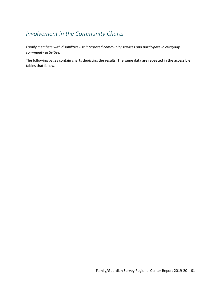### *Involvement in the Community Charts*

*Family members with disabilities use integrated community services and participate in everyday community activities.*

The following pages contain charts depicting the results. The same data are repeated in the accessible tables that follow.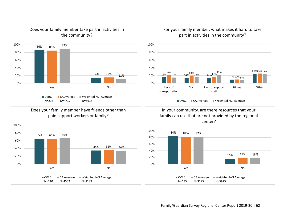

### Does your family member have friends other than paid support workers or family?



For your family member, what makes it hard to take part in activities in the community?



In your community, are there resources that your family can use that are not provided by the regional center?



Family/Guardian Survey Regional Center Report 2019-20 | 62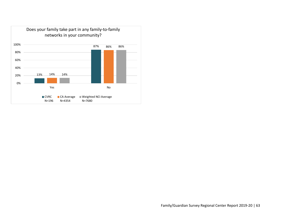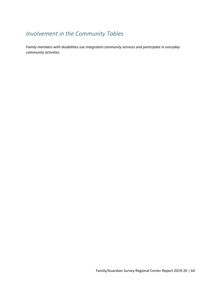### *Involvement in the Community Tables*

*Family members with disabilities use integrated community services and participate in everyday community activities.*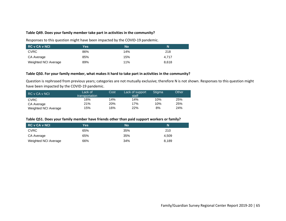#### **Table Q49. Does your family member take part in activities in the community?**

Responses to this question might have been impacted by the COVID-19 pandemic.

| <b>RC v CA v NCI</b> | Yes | <b>No</b> | N     |
|----------------------|-----|-----------|-------|
| <b>CVRC</b>          | 86% | 14%       | 218   |
| CA Average           | 85% | 15%       | 4.717 |
| Weighted NCI Average | 89% | 11%       | 8,618 |

#### **Table Q50. For your family member, what makes it hard to take part in activities in the community?**

Question is rephrased from previous years; categories are not mutually exclusive; therefore N is not shown. Responses to this question might have been impacted by the COVID-19 pandemic.

| RC v CA v NCL        | Lack of<br>transportation | Cost | Lack of support<br>staff | Stiama | Other |
|----------------------|---------------------------|------|--------------------------|--------|-------|
| <b>CVRC</b>          | 16%                       | 14%  | 14%                      | 10%    | 25%   |
| CA Average           | 21%                       | 20%  | 17%                      | 10%    | 25%   |
| Weighted NCI Average | 15%                       | 16%  | 22%                      | 8%     | 24%   |

#### **Table Q51. Does your family member have friends other than paid support workers or family?**

| <b>RC v CA v NCI</b> | Yes | <b>No</b> | N     |
|----------------------|-----|-----------|-------|
| <b>CVRC</b>          | 65% | 35%       | 210   |
| CA Average           | 65% | 35%       | 4.509 |
| Weighted NCI Average | 66% | 34%       | 8.189 |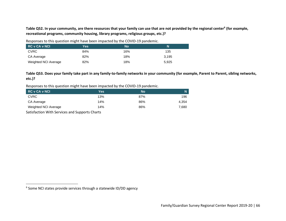**Table Q52. In your community, are there resources that your family can use that are not provided by the regional center<sup>6</sup> (for example, recreational programs, community housing, library programs, religious groups, etc.)?**

Responses to this question might have been impacted by the COVID-19 pandemic.

| <b>RC v CA v NCI</b> | Yes | <b>No</b> | N     |
|----------------------|-----|-----------|-------|
| <b>CVRC</b>          | 84% | 16%       | 135   |
| CA Average           | 82% | 18%       | 3.195 |
| Weighted NCI Average | 82% | 18%       | 5.925 |

**Table Q53. Does your family take part in any family-to-family networks in your community (for example, Parent to Parent, sibling networks, etc.)?**

Responses to this question might have been impacted by the COVID-19 pandemic.

| RC v CA v NCI                                                                              | Yes | No  |       |  |  |
|--------------------------------------------------------------------------------------------|-----|-----|-------|--|--|
| <b>CVRC</b>                                                                                | 13% | 87% | 196   |  |  |
| CA Average                                                                                 | 14% | 86% | 4.354 |  |  |
| Weighted NCI Average                                                                       | 14% | 86% | 7.680 |  |  |
| $\sigma$ and $\sigma$ and a summarized and a set of $\sigma$ and a summarized and $\sigma$ |     |     |       |  |  |

Satisfaction With Services and Supports Charts

<sup>&</sup>lt;sup>6</sup> Some NCI states provide services through a statewide ID/DD agency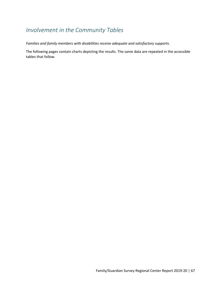### *Involvement in the Community Tables*

*Families and family members with disabilities receive adequate and satisfactory supports.*

The following pages contain charts depicting the results. The same data are repeated in the accessible tables that follow.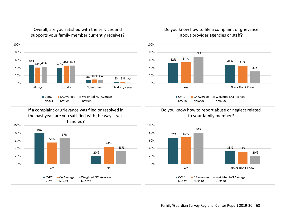

If a complaint or grievance was filed or resolved in the past year, are you satisfied with the way it was handled?







### Do you know how to report abuse or neglect related to your family member?

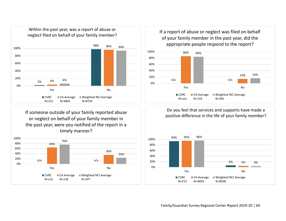

If someone outside of your family reported abuse or neglect on behalf of your family member in the past year, were you notified of the report in a timely manner?



If a report of abuse or neglect was filed on behalf of your family member in the past year, did the appropriate people respond to the report?



Do you feel that services and supports have made a positive difference in the life of your family member?



Family/Guardian Survey Regional Center Report 2019-20 | 69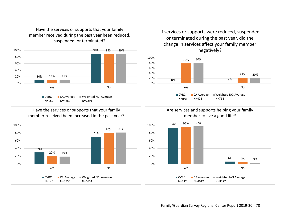

Have the services or supports that your family member received been increased in the past year?



If services or supports were reduced, suspended or terminated during the past year, did the change in services affect your family member negatively?







Family/Guardian Survey Regional Center Report 2019-20 | 70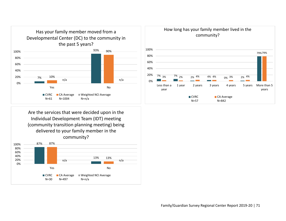

Are the services that were decided upon in the Individual Development Team (IDT) meeting (community transition planning meeting) being delivered to your family member in the community?



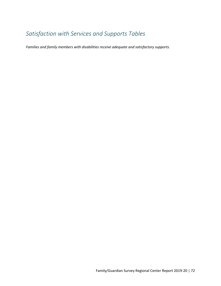# *Satisfaction with Services and Supports Tables*

*Families and family members with disabilities receive adequate and satisfactory supports.*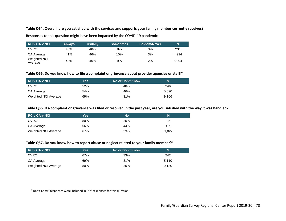## **Table Q54. Overall, are you satisfied with the services and supports your family member currently receives?**

Responses to this question might have been impacted by the COVID-19 pandemic.

| <b>RC v CA v NCI</b>    | <b>Always</b> | <b>Usually</b> | <b>Sometimes</b> | <b>Seldom/Never</b> | N     |
|-------------------------|---------------|----------------|------------------|---------------------|-------|
| <b>CVRC</b>             | 48%           | 40%            | 8%               | 3%                  | 231   |
| CA Average              | 41%           | 46%            | 10%              | 3%                  | 4.994 |
| Weighted NCI<br>Average | 43%           | 46%            | 9%               | 2%                  | 8.994 |

## **Table Q55. Do you know how to file a complaint or grievance about provider agencies or staff?<sup>7</sup>**

| <b>RC v CA v NCI</b> | Yes. | No or Don't Know | N     |  |
|----------------------|------|------------------|-------|--|
| <b>CVRC</b>          | 52%  | 48%              | 246   |  |
| CA Average           | 54%  | 46%              | 5.090 |  |
| Weighted NCI Average | 69%  | 31%              | 9.106 |  |

### **Table Q56. If a complaint or grievance was filed or resolved in the past year, are you satisfied with the way it was handled?**

| <b>RC v CA v NCI</b> | Yes | No  | N     |
|----------------------|-----|-----|-------|
| <b>CVRC</b>          | 80% | 20% | 25    |
| CA Average           | 56% | 44% | 489   |
| Weighted NCI Average | 67% | 33% | 1.027 |

## **Table Q57. Do you know how to report abuse or neglect related to your family member?<sup>7</sup>**

| <b>RC v CA v NCI</b> | Yes. | i No or Don't Know <sup>∖</sup> | N     |  |
|----------------------|------|---------------------------------|-------|--|
| <b>CVRC</b>          | 67%  | 33%                             | 242   |  |
| CA Average           | 69%  | 31%                             | 5.110 |  |
| Weighted NCI Average | 80%  | <b>20%</b>                      | 9.130 |  |

<sup>7</sup> Don't Know' responses were included in 'No' responses for this question.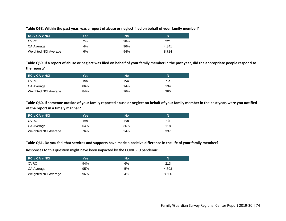## **Table Q58. Within the past year, was a report of abuse or neglect filed on behalf of your family member?**

| RC v CA v NCI        | Yes | No  | N     |
|----------------------|-----|-----|-------|
| <b>CVRC</b>          | 2%  | 98% | 221   |
| CA Average           | 4%  | 96% | 4.841 |
| Weighted NCI Average | 6%  | 94% | 8.724 |

**Table Q59. If a report of abuse or neglect was filed on behalf of your family member in the past year, did the appropriate people respond to the report?**

| <b>RC v CA v NCI</b> | Yes | No  | N   |
|----------------------|-----|-----|-----|
| <b>CVRC</b>          | n/a | n/a | n/a |
| CA Average           | 86% | 14% | 134 |
| Weighted NCI Average | 84% | 16% | 365 |

**Table Q60. If someone outside of your family reported abuse or neglect on behalf of your family member in the past year, were you notified of the report in a timely manner?**

| <b>RC v CA v NCI</b> | Yes | No  | N   |
|----------------------|-----|-----|-----|
| <b>CVRC</b>          | n/a | n/a | n/a |
| CA Average           | 64% | 36% | 118 |
| Weighted NCI Average | 76% | 24% | 337 |

### **Table Q61. Do you feel that services and supports have made a positive difference in the life of your family member?**

Responses to this question might have been impacted by the COVID-19 pandemic.

| <b>RC v CA v NCI</b> | Yes | <b>No</b> | N     |
|----------------------|-----|-----------|-------|
| <b>CVRC</b>          | 94% | 6%        | 213   |
| CA Average           | 95% | 5%        | 4.693 |
| Weighted NCI Average | 96% | 4%        | 8,500 |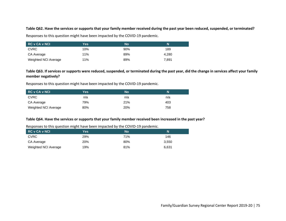## **Table Q62. Have the services or supports that your family member received during the past year been reduced, suspended, or terminated?**

Responses to this question might have been impacted by the COVID-19 pandemic.

| <b>RC v CA v NCI</b> | Yes | <b>No</b> | N     |
|----------------------|-----|-----------|-------|
| <b>CVRC</b>          | 10% | 90%       | 189   |
| CA Average           | 11% | 89%       | 4.280 |
| Weighted NCI Average | 11% | 89%       | 7.891 |

# **Table Q63. If services or supports were reduced, suspended, or terminated during the past year, did the change in services affect your family member negatively?**

Responses to this question might have been impacted by the COVID-19 pandemic.

| <b>RC v CA v NCI</b> | Yes | <b>No</b> | N   |
|----------------------|-----|-----------|-----|
| <b>CVRC</b>          | n/a | n/a       | n/a |
| CA Average           | 79% | 21%       | 403 |
| Weighted NCI Average | 80% | 20%       | 758 |

## **Table Q64. Have the services or supports that your family member received been increased in the past year?**

| <b>RC v CA v NCI</b> | Yes.       | Nο  | N     |
|----------------------|------------|-----|-------|
| <b>CVRC</b>          | <b>29%</b> | 71% | 146   |
| CA Average           | <b>20%</b> | 80% | 3.550 |
| Weighted NCI Average | 19%        | 81% | 6.631 |

Responses to this question might have been impacted by the COVID-19 pandemic.